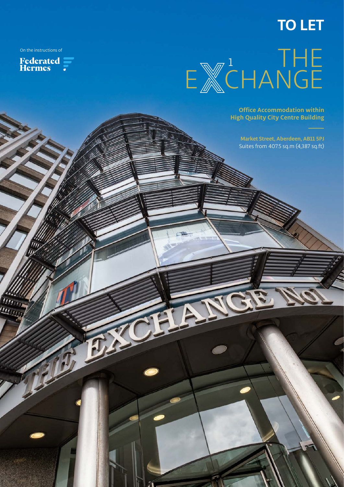## **TO LET**

<u>ייני ייין</u>





**Office Accommodation within High Quality City Centre Building** 

**Market Street, Aberdeen, AB11 5PJ**  Suites from 407.5 sq.m (4,387 sq.ft)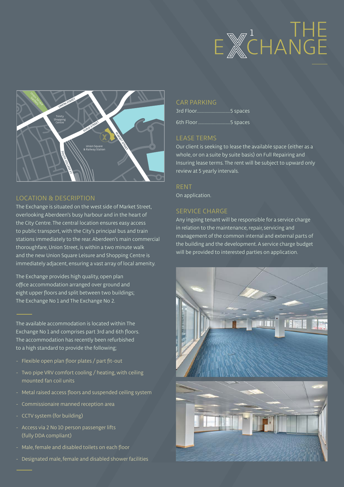# E **ECHANGE** 1 THE



#### LOCATION & DESCRIPTION

The Exchange is situated on the west side of Market Street, overlooking Aberdeen's busy harbour and in the heart of the City Centre. The central location ensures easy access to public transport, with the City's principal bus and train stations immediately to the rear. Aberdeen's main commercial thoroughfare, Union Street, is within a two minute walk and the new Union Square Leisure and Shopping Centre is immediately adjacent, ensuring a vast array of local amenity.

The Exchange provides high quality, open plan office accommodation arranged over ground and eight upper floors and split between two buildings; The Exchange No 1 and The Exchange No 2.

The available accommodation is located within The Exchange No 1 and comprises part 3rd and 6th floors. The accommodation has recently been refurbished to a high standard to provide the following;

- Flexible open plan floor plates / part fit-out
- Two pipe VRV comfort cooling / heating, with ceiling mounted fan coil units
- Metal raised access floors and suspended ceiling system
- Commissionaire manned reception area
- CCTV system (for building)
- Access via 2 No 10 person passenger lifts (fully DDA compliant)
- Male, female and disabled toilets on each floor
- Designated male, female and disabled shower facilities

#### CAR PARKING

3rd Floor.............................5 spaces

### 6th Floor............................5 spaces

#### LEASE TERMS

Our client is seeking to lease the available space (either as a whole, or on a suite by suite basis) on Full Repairing and Insuring lease terms. The rent will be subject to upward only review at 5 yearly intervals.

RENT On application.

#### SERVICE CHARGE

Any ingoing tenant will be responsible for a service charge in relation to the maintenance, repair, servicing and management of the common internal and external parts of the building and the development. A service charge budget will be provided to interested parties on application.

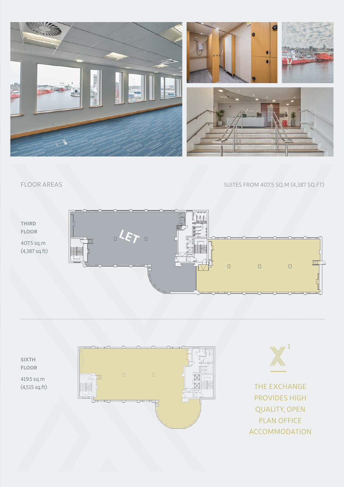

FLOOR AREAS SUITES FROM 407.5 SQ.M (4,387 SQ.FT)